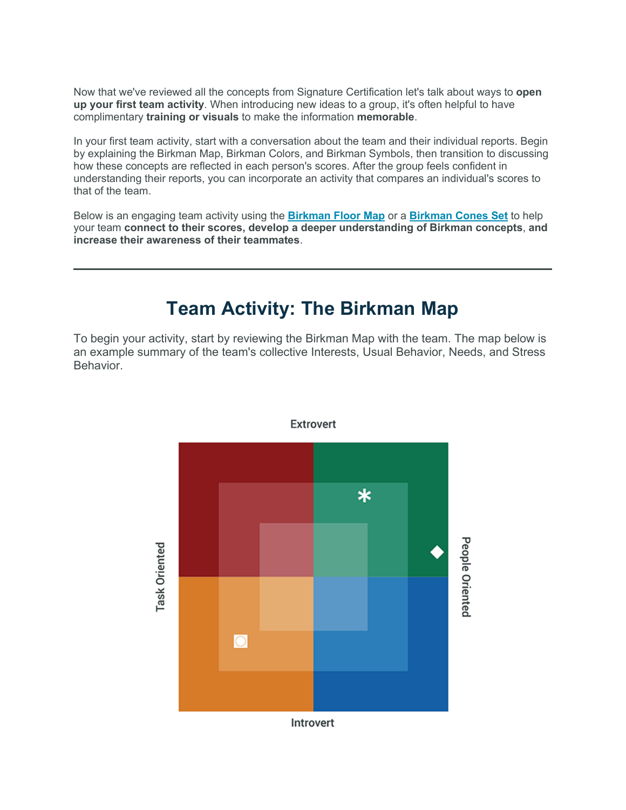Now that we've reviewed all the concepts from Signature Certification let's talk about ways to **open up your first team activity**. When introducing new ideas to a group, it's often helpful to have complimentary **training or visuals** to make the information **memorable**.

In your first team activity, start with a conversation about the team and their individual reports. Begin by explaining the Birkman Map, Birkman Colors, and Birkman Symbols, then transition to discussing how these concepts are reflected in each person's scores. After the group feels confident in understanding their reports, you can incorporate an activity that compares an individual's scores to that of the team.

Below is an engaging team activity using the **[Birkman Floor Map](https://store.birkman.com/collections/all-items-excluding-training/products/birkman-floor-map)** or a **[Birkman Cones Set](https://store.birkman.com/collections/all-items-excluding-training/products/birkman-cones-set)** to help your team **connect to their scores, develop a deeper understanding of Birkman concepts**, **and increase their awareness of their teammates**.

# **Team Activity: The Birkman Map**

To begin your activity, start by reviewing the Birkman Map with the team. The map below is an example summary of the team's collective Interests, Usual Behavior, Needs, and Stress Behavior.

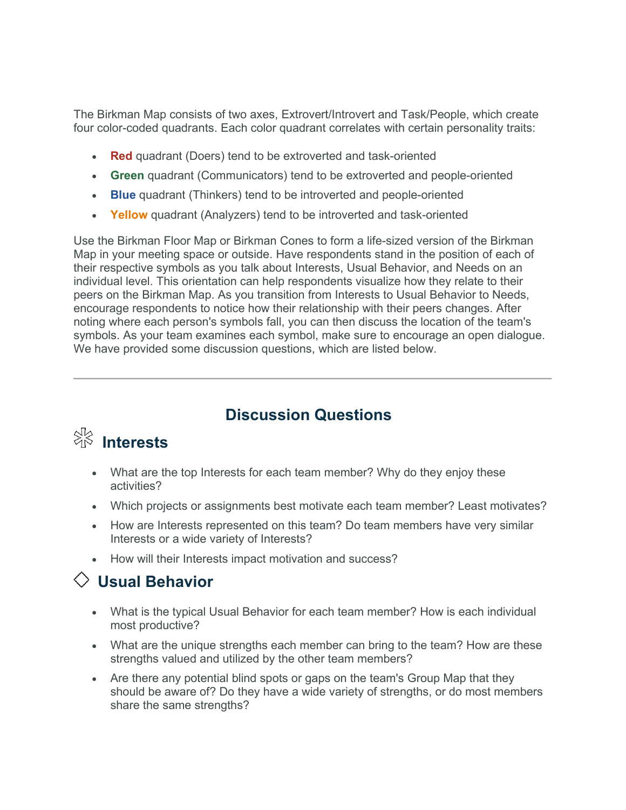The Birkman Map consists of two axes, Extrovert/Introvert and Task/People, which create four color-coded quadrants. Each color quadrant correlates with certain personality traits:

- **Red** quadrant (Doers) tend to be extroverted and task-oriented
- **Green** quadrant (Communicators) tend to be extroverted and people-oriented
- **Blue** quadrant (Thinkers) tend to be introverted and people-oriented
- **Yellow** quadrant (Analyzers) tend to be introverted and task-oriented

Use the Birkman Floor Map or Birkman Cones to form a life-sized version of the Birkman Map in your meeting space or outside. Have respondents stand in the position of each of their respective symbols as you talk about Interests, Usual Behavior, and Needs on an individual level. This orientation can help respondents visualize how they relate to their peers on the Birkman Map. As you transition from Interests to Usual Behavior to Needs, encourage respondents to notice how their relationship with their peers changes. After noting where each person's symbols fall, you can then discuss the location of the team's symbols. As your team examines each symbol, make sure to encourage an open dialogue. We have provided some discussion questions, which are listed below.

### **Discussion Questions**

# **Interests**

- What are the top Interests for each team member? Why do they enjoy these activities?
- Which projects or assignments best motivate each team member? Least motivates?
- How are Interests represented on this team? Do team members have very similar Interests or a wide variety of Interests?
- How will their Interests impact motivation and success?

## **Usual Behavior**

- What is the typical Usual Behavior for each team member? How is each individual most productive?
- What are the unique strengths each member can bring to the team? How are these strengths valued and utilized by the other team members?
- Are there any potential blind spots or gaps on the team's Group Map that they should be aware of? Do they have a wide variety of strengths, or do most members share the same strengths?